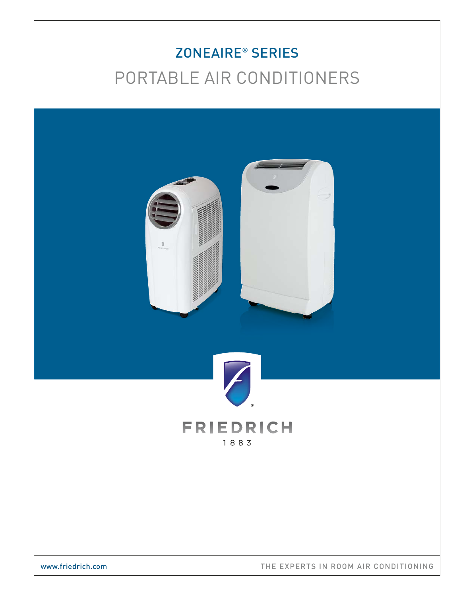# ZONEAIRE® SERIES PORTABLE AIR CONDITIONERS

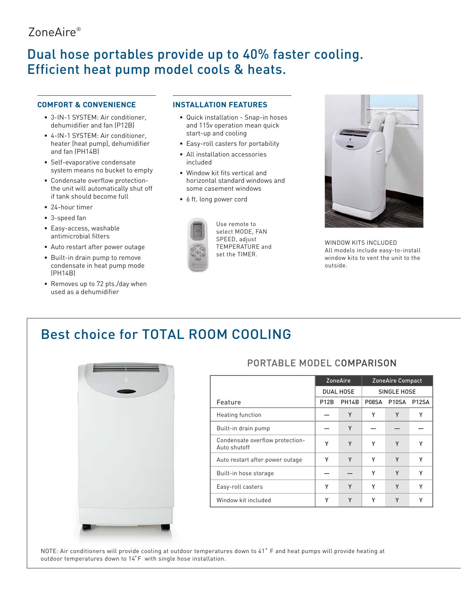## ZoneAire®

## Dual hose portables provide up to 40% faster cooling. Efficient heat pump model cools & heats.

#### **COMFORT & CONVENIENCE**

- 3-IN-1 SYSTEM: Air conditioner, dehumidifier and fan (P12B)
- 4-IN-1 SYSTEM: Air conditioner, heater (heat pump), dehumidifier and fan (PH14B)
- Self-evaporative condensate system means no bucket to empty
- Condensate overflow protectionthe unit will automatically shut off if tank should become full
- 24-hour timer
- 3-speed fan
- Easy-access, washable antimicrobial filters
- Auto restart after power outage
- Built-in drain pump to remove condensate in heat pump mode (PH14B)
- Removes up to 72 pts./day when used as a dehumidifier

#### **INSTALLATION FEATURES**

- Quick installation Snap-in hoses and 115v operation mean quick start-up and cooling
- Easy-roll casters for portability
- All installation accessories included
- Window kit fits vertical and horizontal standard windows and some casement windows
- 6 ft. long power cord



Use remote to select MODE, FAN SPEED, adjust TEMPERATURE and set the TIMER.



WINDOW KITS INCLUDED All models include easy-to-install window kits to vent the unit to the outside.

# Best choice for TOTAL ROOM COOLING



# PORTABLE MODEL COMPARISON

|                                                 |             | <b>ZoneAire</b>  | <b>ZoneAire Compact</b> |       |                    |  |
|-------------------------------------------------|-------------|------------------|-------------------------|-------|--------------------|--|
|                                                 |             | <b>DUAL HOSE</b> | SINGLE HOSE             |       |                    |  |
| Feature                                         | <b>P12B</b> | <b>PH14B</b>     | P08SA                   | P10SA | P <sub>12</sub> SA |  |
| Heating function                                |             | Y                | Υ                       | Y     | γ                  |  |
| Built-in drain pump                             |             | Y                |                         |       |                    |  |
| Condensate overflow protection-<br>Auto shutoff | Υ           | Y                | Υ                       | Y     | Υ                  |  |
| Auto restart after power outage                 | Υ           | Y                | Υ                       | Y     | γ                  |  |
| Built-in hose storage                           |             |                  | Υ                       | Y     | γ                  |  |
| Easy-roll casters                               | γ           | Υ                | Υ                       | Υ     | γ                  |  |
| Window kit included                             |             | ٧                |                         | Υ     |                    |  |

NOTE: Air conditioners will provide cooling at outdoor temperatures down to 41° F and heat pumps will provide heating at outdoor temperatures down to 14°F with single hose installation.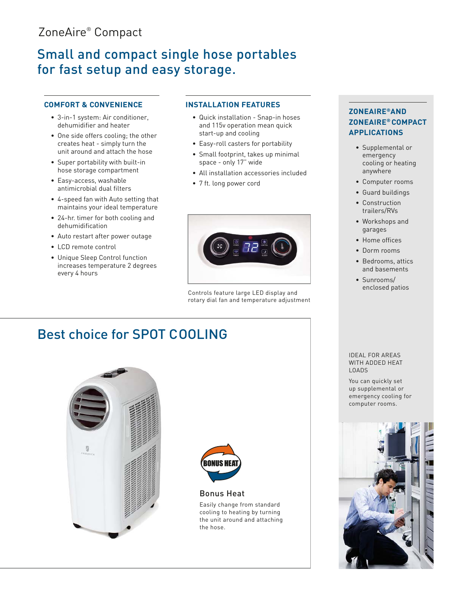### ZoneAire® Compact

# Small and compact single hose portables for fast setup and easy storage.

#### **COMFORT & CONVENIENCE**

- 3-in-1 system: Air conditioner, dehumidifier and heater
- One side offers cooling; the other creates heat - simply turn the unit around and attach the hose
- Super portability with built-in hose storage compartment
- Easy-access, washable antimicrobial dual filters
- 4-speed fan with Auto setting that maintains your ideal temperature
- 24-hr. timer for both cooling and dehumidification
- Auto restart after power outage
- LCD remote control
- Unique Sleep Control function increases temperature 2 degrees every 4 hours

#### **INSTALLATION FEATURES**

- Quick installation Snap-in hoses and 115v operation mean quick start-up and cooling
- Easy-roll casters for portability
- Small footprint, takes up minimal space - only 17" wide
- All installation accessories included
- 7 ft. long power cord



Controls feature large LED display and rotary dial fan and temperature adjustment

# Best choice for SPOT COOLING





Bonus Heat Easily change from standard cooling to heating by turning the unit around and attaching the hose.

#### **ZONEAIRE®AND ZONEAIRE® COMPACT APPLICATIONS**

- Supplemental or emergency cooling or heating anywhere
- Computer rooms
- Guard buildings
- Construction trailers/RVs
- Workshops and garages
- Home offices
- Dorm rooms
- Bedrooms, attics and basements
- Sunrooms/ enclosed patios

#### IDEAL FOR AREAS WITH ADDED HEAT LOADS

You can quickly set up supplemental or emergency cooling for computer rooms.